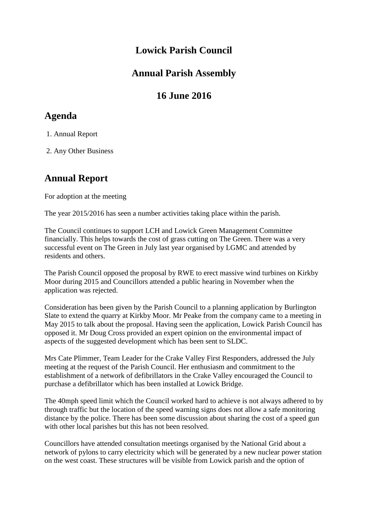#### **Lowick Parish Council**

#### **Annual Parish Assembly**

# **16 June 2016**

# **Agenda**

1. Annual Report

2. Any Other Business

### **Annual Report**

For adoption at the meeting

The year 2015/2016 has seen a number activities taking place within the parish.

The Council continues to support LCH and Lowick Green Management Committee financially. This helps towards the cost of grass cutting on The Green. There was a very successful event on The Green in July last year organised by LGMC and attended by residents and others.

The Parish Council opposed the proposal by RWE to erect massive wind turbines on Kirkby Moor during 2015 and Councillors attended a public hearing in November when the application was rejected.

Consideration has been given by the Parish Council to a planning application by Burlington Slate to extend the quarry at Kirkby Moor. Mr Peake from the company came to a meeting in May 2015 to talk about the proposal. Having seen the application, Lowick Parish Council has opposed it. Mr Doug Cross provided an expert opinion on the environmental impact of aspects of the suggested development which has been sent to SLDC.

Mrs Cate Plimmer, Team Leader for the Crake Valley First Responders, addressed the July meeting at the request of the Parish Council. Her enthusiasm and commitment to the establishment of a network of defibrillators in the Crake Valley encouraged the Council to purchase a defibrillator which has been installed at Lowick Bridge.

The 40mph speed limit which the Council worked hard to achieve is not always adhered to by through traffic but the location of the speed warning signs does not allow a safe monitoring distance by the police. There has been some discussion about sharing the cost of a speed gun with other local parishes but this has not been resolved.

Councillors have attended consultation meetings organised by the National Grid about a network of pylons to carry electricity which will be generated by a new nuclear power station on the west coast. These structures will be visible from Lowick parish and the option of